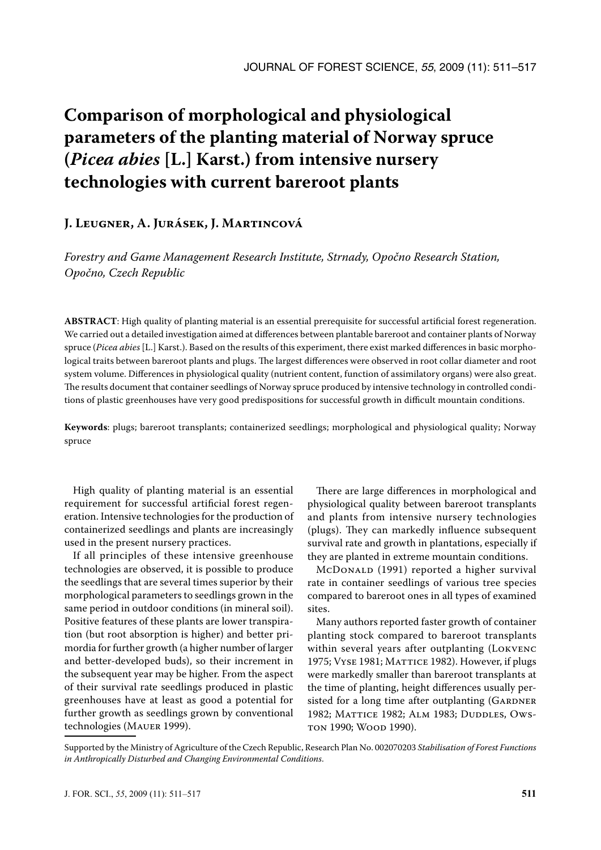# **Comparison of morphological and physiological parameters of the planting material of Norway spruce (***Picea abies* **[L.] Karst.) from intensive nursery technologies with current bareroot plants**

# **J. Leugner, A. Jurásek, J. Martincová**

*Forestry and Game Management Research Institute, Strnady, Opočno Research Station, Opočno, Czech republic*

**ABSTRACT**: High quality of planting material is an essential prerequisite for successful artificial forest regeneration. We carried out a detailed investigation aimed at differences between plantable bareroot and container plants of Norway spruce (*Picea abies* [L.] Karst.). Based on the results of this experiment, there exist marked differences in basic morphological traits between bareroot plants and plugs. The largest differences were observed in root collar diameter and root system volume. Differences in physiological quality (nutrient content, function of assimilatory organs) were also great. The results document that container seedlings of Norway spruce produced by intensive technology in controlled conditions of plastic greenhouses have very good predispositions for successful growth in difficult mountain conditions.

**Keywords**: plugs; bareroot transplants; containerized seedlings; morphological and physiological quality; Norway spruce

High quality of planting material is an essential requirement for successful artificial forest regeneration. Intensive technologies for the production of containerized seedlings and plants are increasingly used in the present nursery practices.

If all principles of these intensive greenhouse technologies are observed, it is possible to produce the seedlings that are several times superior by their morphological parameters to seedlings grown in the same period in outdoor conditions (in mineral soil). Positive features of these plants are lower transpiration (but root absorption is higher) and better primordia for further growth (a higher number of larger and better-developed buds), so their increment in the subsequent year may be higher. From the aspect of their survival rate seedlings produced in plastic greenhouses have at least as good a potential for further growth as seedlings grown by conventional technologies (Mauer 1999).

There are large differences in morphological and physiological quality between bareroot transplants and plants from intensive nursery technologies (plugs). They can markedly influence subsequent survival rate and growth in plantations, especially if they are planted in extreme mountain conditions.

McDonald (1991) reported a higher survival rate in container seedlings of various tree species compared to bareroot ones in all types of examined sites.

Many authors reported faster growth of container planting stock compared to bareroot transplants within several years after outplanting (Lokvenc 1975; Vyse 1981; MATTICE 1982). However, if plugs were markedly smaller than bareroot transplants at the time of planting, height differences usually persisted for a long time after outplanting (GARDNER 1982; MATTICE 1982; ALM 1983; DUDDLES, OWSton 1990; Wood 1990).

Supported by the Ministry of Agriculture of the Czech Republic, Research Plan No. 002070203 *Stabilisation of Forest Functions in Anthropically Disturbed and Changing Environmental Conditions*.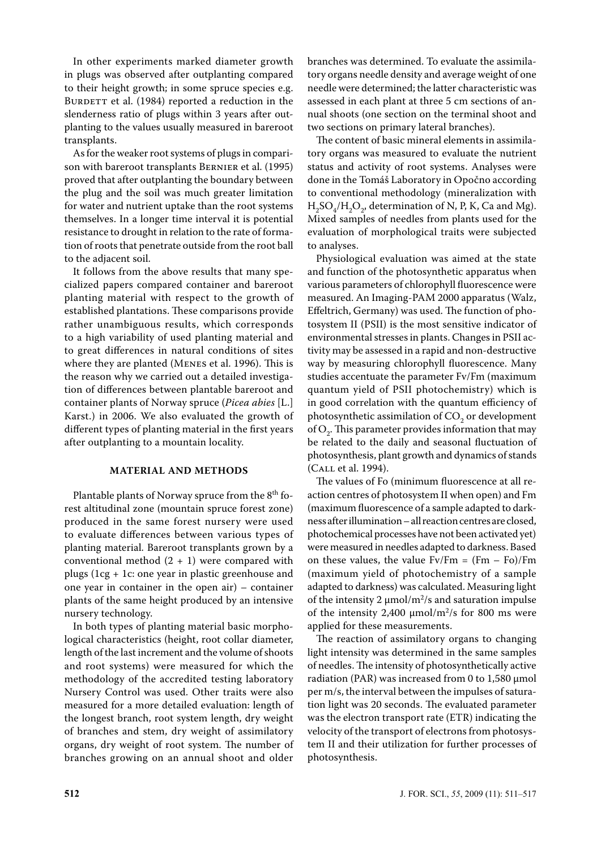In other experiments marked diameter growth in plugs was observed after outplanting compared to their height growth; in some spruce species e.g. BURDETT et al. (1984) reported a reduction in the slenderness ratio of plugs within 3 years after outplanting to the values usually measured in bareroot transplants.

As for the weaker root systems of plugs in comparison with bareroot transplants BERNIER et al. (1995) proved that after outplanting the boundary between the plug and the soil was much greater limitation for water and nutrient uptake than the root systems themselves. In a longer time interval it is potential resistance to drought in relation to the rate of formation of roots that penetrate outside from the root ball to the adjacent soil.

It follows from the above results that many specialized papers compared container and bareroot planting material with respect to the growth of established plantations. These comparisons provide rather unambiguous results, which corresponds to a high variability of used planting material and to great differences in natural conditions of sites where they are planted (Menes et al. 1996). This is the reason why we carried out a detailed investigation of differences between plantable bareroot and container plants of Norway spruce (*Picea abies* [L.] Karst.) in 2006. We also evaluated the growth of different types of planting material in the first years after outplanting to a mountain locality.

## **MATERIAL AND METHODS**

Plantable plants of Norway spruce from the  $8<sup>th</sup>$  forest altitudinal zone (mountain spruce forest zone) produced in the same forest nursery were used to evaluate differences between various types of planting material. Bareroot transplants grown by a conventional method  $(2 + 1)$  were compared with plugs (1cg + 1c: one year in plastic greenhouse and one year in container in the open air) – container plants of the same height produced by an intensive nursery technology.

In both types of planting material basic morphological characteristics (height, root collar diameter, length of the last increment and the volume of shoots and root systems) were measured for which the methodology of the accredited testing laboratory Nursery Control was used. Other traits were also measured for a more detailed evaluation: length of the longest branch, root system length, dry weight of branches and stem, dry weight of assimilatory organs, dry weight of root system. The number of branches growing on an annual shoot and older branches was determined. To evaluate the assimilatory organs needle density and average weight of one needle were determined; the latter characteristic was assessed in each plant at three 5 cm sections of annual shoots (one section on the terminal shoot and two sections on primary lateral branches).

The content of basic mineral elements in assimilatory organs was measured to evaluate the nutrient status and activity of root systems. Analyses were done in the Tomáš Laboratory in Opočno according to conventional methodology (mineralization with  $H_2SO_4/H_2O_2$ , determination of N, P, K, Ca and Mg). Mixed samples of needles from plants used for the evaluation of morphological traits were subjected to analyses.

Physiological evaluation was aimed at the state and function of the photosynthetic apparatus when various parameters of chlorophyll fluorescence were measured. An Imaging-PAM 2000 apparatus (Walz, Effeltrich, Germany) was used. The function of photosystem II (PSII) is the most sensitive indicator of environmental stresses in plants. Changes in PSII activity may be assessed in a rapid and non-destructive way by measuring chlorophyll fluorescence. Many studies accentuate the parameter Fv/Fm (maximum quantum yield of PSII photochemistry) which is in good correlation with the quantum efficiency of photosynthetic assimilation of  $CO<sub>2</sub>$  or development of  $O_2$ . This parameter provides information that may be related to the daily and seasonal fluctuation of photosynthesis, plant growth and dynamics of stands (Call et al. 1994).

The values of Fo (minimum fluorescence at all reaction centres of photosystem II when open) and Fm (maximum fluorescence of a sample adapted to darkness after illumination – all reaction centres are closed, photochemical processes have not been activated yet) were measured in needles adapted to darkness. Based on these values, the value  $Fv/Fm = (Fm - Fo)/Fm$ (maximum yield of photochemistry of a sample adapted to darkness) was calculated. Measuring light of the intensity 2  $\mu$ mol/m<sup>2</sup>/s and saturation impulse of the intensity 2,400  $\mu$ mol/m<sup>2</sup>/s for 800 ms were applied for these measurements.

The reaction of assimilatory organs to changing light intensity was determined in the same samples of needles. The intensity of photosynthetically active radiation (PAR) was increased from 0 to  $1,580 \mu$ mol per m/s, the interval between the impulses of saturation light was 20 seconds. The evaluated parameter was the electron transport rate (ETR) indicating the velocity of the transport of electrons from photosystem II and their utilization for further processes of photosynthesis.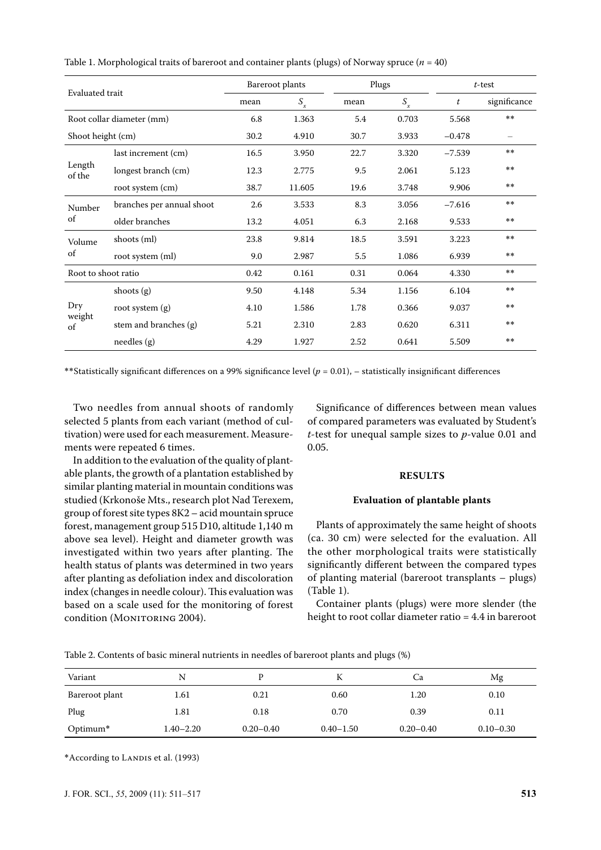| <b>Evaluated trait</b>    |                           | Bareroot plants |         | Plugs |         | $t$ -test |                          |
|---------------------------|---------------------------|-----------------|---------|-------|---------|-----------|--------------------------|
|                           |                           | mean            | $S_{x}$ | mean  | $S_{x}$ | t         | significance             |
| Root collar diameter (mm) |                           | 6.8             | 1.363   | 5.4   | 0.703   | 5.568     | $**$                     |
| Shoot height (cm)         |                           | 30.2            | 4.910   | 30.7  | 3.933   | $-0.478$  | $\overline{\phantom{0}}$ |
| Length<br>of the          | last increment (cm)       | 16.5            | 3.950   | 22.7  | 3.320   | $-7.539$  | $**$                     |
|                           | longest branch (cm)       | 12.3            | 2.775   | 9.5   | 2.061   | 5.123     | $**$                     |
|                           | root system (cm)          | 38.7            | 11.605  | 19.6  | 3.748   | 9.906     | $**$                     |
| Number<br>of              | branches per annual shoot | 2.6             | 3.533   | 8.3   | 3.056   | $-7.616$  | $**$                     |
|                           | older branches            | 13.2            | 4.051   | 6.3   | 2.168   | 9.533     | $***$                    |
| Volume<br>of              | shoots (ml)               | 23.8            | 9.814   | 18.5  | 3.591   | 3.223     | $**$                     |
|                           | root system (ml)          | 9.0             | 2.987   | 5.5   | 1.086   | 6.939     | $**$                     |
| Root to shoot ratio       |                           | 0.42            | 0.161   | 0.31  | 0.064   | 4.330     | $***$                    |
| Dry<br>weight<br>of       | shoots (g)                | 9.50            | 4.148   | 5.34  | 1.156   | 6.104     | $**$                     |
|                           | root system $(g)$         | 4.10            | 1.586   | 1.78  | 0.366   | 9.037     | $**$                     |
|                           | stem and branches (g)     | 5.21            | 2.310   | 2.83  | 0.620   | 6.311     | $**$                     |
|                           | needles (g)               | 4.29            | 1.927   | 2.52  | 0.641   | 5.509     | $**$                     |

Table 1. Morphological traits of bareroot and container plants (plugs) of Norway spruce  $(n = 40)$ 

\*\*Statistically significant differences on a 99% significance level  $(p = 0.01)$ , – statistically insignificant differences

Two needles from annual shoots of randomly selected 5 plants from each variant (method of cultivation) were used for each measurement. Measurements were repeated 6 times.

In addition to the evaluation of the quality of plantable plants, the growth of a plantation established by similar planting material in mountain conditions was studied (Krkonoše Mts., research plot Nad Terexem, group of forest site types 8K2 – acid mountain spruce forest, management group 515 D10, altitude 1,140 m above sea level). Height and diameter growth was investigated within two years after planting. The health status of plants was determined in two years after planting as defoliation index and discoloration index (changes in needle colour). This evaluation was based on a scale used for the monitoring of forest condition (MONITORING 2004).

Significance of differences between mean values of compared parameters was evaluated by Student's *t*-test for unequal sample sizes to *p*-value 0.01 and 0.05.

#### **RESULTS**

## **Evaluation of plantable plants**

Plants of approximately the same height of shoots (ca. 30 cm) were selected for the evaluation. All the other morphological traits were statistically significantly different between the compared types of planting material (bareroot transplants – plugs) (Table 1).

Container plants (plugs) were more slender (the height to root collar diameter ratio = 4.4 in bareroot

| Variant              | N             |               |               | Сa            | Mg            |
|----------------------|---------------|---------------|---------------|---------------|---------------|
| Bareroot plant       | 1.61          | 0.21          | 0.60          | 1.20          | 0.10          |
| Plug                 | 1.81          | 0.18          | 0.70          | 0.39          | 0.11          |
| Optimum <sup>*</sup> | $1.40 - 2.20$ | $0.20 - 0.40$ | $0.40 - 1.50$ | $0.20 - 0.40$ | $0.10 - 0.30$ |

Table 2. Contents of basic mineral nutrients in needles of bareroot plants and plugs (%)

\*According to LANDIS et al. (1993)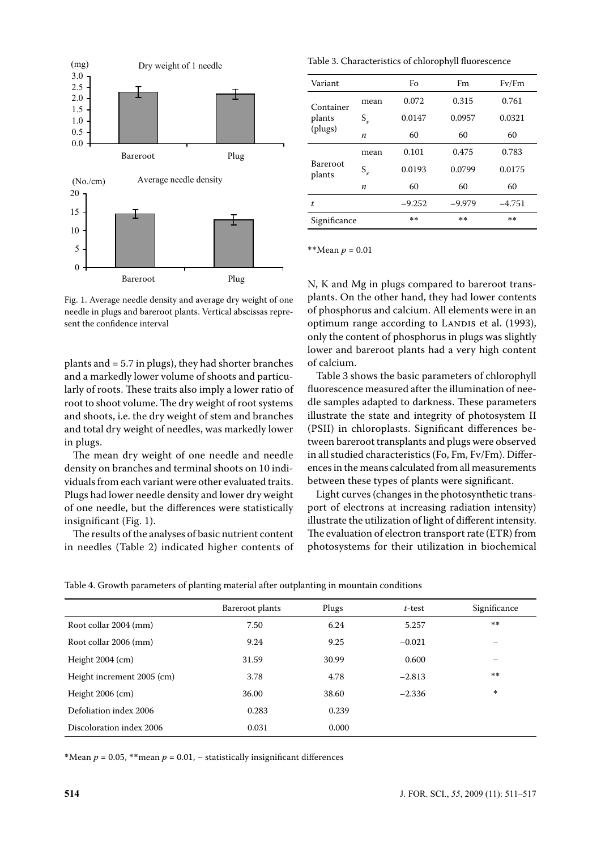

Fig. 1. Average needle density and average dry weight of one needle in plugs and bareroot plants. Vertical abscissas represent the confidence interval

plants and = 5.7 in plugs), they had shorter branches and a markedly lower volume of shoots and particularly of roots. These traits also imply a lower ratio of root to shoot volume. The dry weight of root systems and shoots, i.e. the dry weight of stem and branches and total dry weight of needles, was markedly lower in plugs.

The mean dry weight of one needle and needle density on branches and terminal shoots on 10 individuals from each variant were other evaluated traits. Plugs had lower needle density and lower dry weight of one needle, but the differences were statistically insignificant (Fig. 1).

The results of the analyses of basic nutrient content in needles (Table 2) indicated higher contents of

Table 3. Characteristics of chlorophyll fluorescence

| Variant                   |         | Fo       | Fm       | Fv/Fm    |
|---------------------------|---------|----------|----------|----------|
| Container                 | mean    | 0.072    | 0.315    | 0.761    |
| plants                    | $S_{x}$ | 0.0147   | 0.0957   | 0.0321   |
| (plugs)                   | 60<br>n |          | 60       | 60       |
|                           | mean    | 0.101    | 0.475    | 0.783    |
| <b>Bareroot</b><br>plants | $S_{x}$ | 0.0193   | 0.0799   | 0.0175   |
|                           | n       | 60       | 60       | 60       |
| t                         |         | $-9.252$ | $-9.979$ | $-4.751$ |
| Significance              |         | $**$     | $**$     | $**$     |

\*\*mean *p* = 0.01

N, K and Mg in plugs compared to bareroot transplants. On the other hand, they had lower contents of phosphorus and calcium. All elements were in an optimum range according to LANDIS et al. (1993), only the content of phosphorus in plugs was slightly lower and bareroot plants had a very high content of calcium.

Table 3 shows the basic parameters of chlorophyll fluorescence measured after the illumination of needle samples adapted to darkness. These parameters illustrate the state and integrity of photosystem II (PSII) in chloroplasts. Significant differences between bareroot transplants and plugs were observed in all studied characteristics (Fo, Fm, Fv/Fm). Differences in the means calculated from all measurements between these types of plants were significant.

Light curves (changes in the photosynthetic transport of electrons at increasing radiation intensity) illustrate the utilization of light of different intensity. The evaluation of electron transport rate (ETR) from photosystems for their utilization in biochemical

Table 4. Growth parameters of planting material after outplanting in mountain conditions

|                            | Bareroot plants | Plugs | $t$ -test | Significance |
|----------------------------|-----------------|-------|-----------|--------------|
| Root collar 2004 (mm)      | 7.50            | 6.24  | 5.257     | **           |
| Root collar 2006 (mm)      | 9.24            | 9.25  | $-0.021$  |              |
| Height $2004$ (cm)         | 31.59           | 30.99 | 0.600     | -            |
| Height increment 2005 (cm) | 3.78            | 4.78  | $-2.813$  | **           |
| Height 2006 (cm)           | 36.00           | 38.60 | $-2.336$  | $\ast$       |
| Defoliation index 2006     | 0.283           | 0.239 |           |              |
| Discoloration index 2006   | 0.031           | 0.000 |           |              |

\*Mean  $p = 0.05$ , \*\*mean  $p = 0.01$ ,  $-$  statistically insignificant differences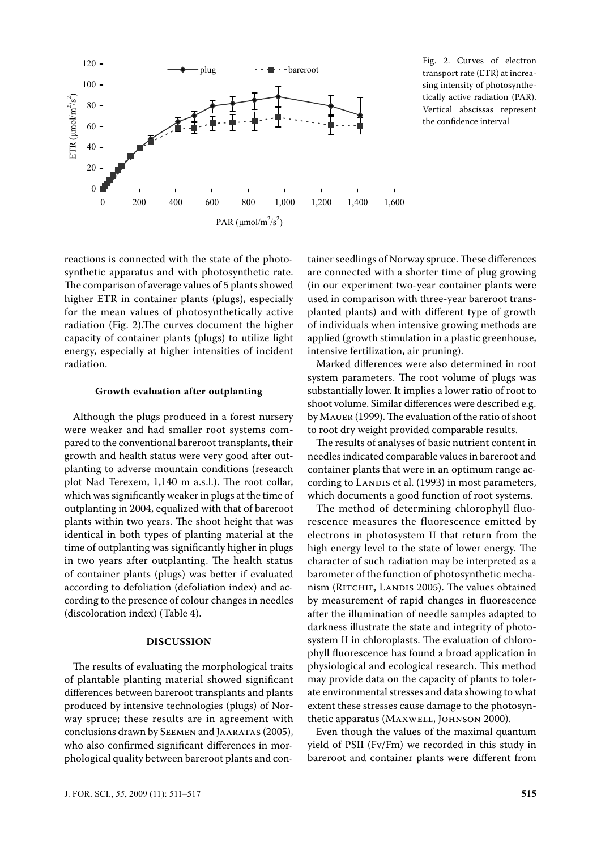

Fig. 2. Curves of electron transport rate (ETR) at increasing intensity of photosynthetically active radiation (PAR). Vertical abscissas represent the confidence interval

reactions is connected with the state of the photosynthetic apparatus and with photosynthetic rate. The comparison of average values of 5 plants showed higher ETR in container plants (plugs), especially for the mean values of photosynthetically active radiation (Fig. 2).The curves document the higher capacity of container plants (plugs) to utilize light energy, especially at higher intensities of incident radiation.

#### **Growth evaluation after outplanting**

Although the plugs produced in a forest nursery were weaker and had smaller root systems compared to the conventional bareroot transplants, their growth and health status were very good after outplanting to adverse mountain conditions (research plot Nad Terexem, 1,140 m a.s.l.). The root collar, which was significantly weaker in plugs at the time of outplanting in 2004, equalized with that of bareroot plants within two years. The shoot height that was identical in both types of planting material at the time of outplanting was significantly higher in plugs in two years after outplanting. The health status of container plants (plugs) was better if evaluated according to defoliation (defoliation index) and according to the presence of colour changes in needles (discoloration index) (Table 4).

#### **DISCUSSION**

The results of evaluating the morphological traits of plantable planting material showed significant differences between bareroot transplants and plants produced by intensive technologies (plugs) of Norway spruce; these results are in agreement with conclusions drawn by SEEMEN and JAARATAS (2005), who also confirmed significant differences in morphological quality between bareroot plants and container seedlings of Norway spruce. These differences are connected with a shorter time of plug growing (in our experiment two-year container plants were used in comparison with three-year bareroot transplanted plants) and with different type of growth of individuals when intensive growing methods are applied (growth stimulation in a plastic greenhouse, intensive fertilization, air pruning).

Marked differences were also determined in root system parameters. The root volume of plugs was substantially lower. It implies a lower ratio of root to shoot volume. Similar differences were described e.g. by Mauer (1999). The evaluation of the ratio of shoot to root dry weight provided comparable results.

The results of analyses of basic nutrient content in needles indicated comparable values in bareroot and container plants that were in an optimum range according to LANDIS et al. (1993) in most parameters, which documents a good function of root systems.

The method of determining chlorophyll fluorescence measures the fluorescence emitted by electrons in photosystem II that return from the high energy level to the state of lower energy. The character of such radiation may be interpreted as a barometer of the function of photosynthetic mechanism (RITCHIE, LANDIS 2005). The values obtained by measurement of rapid changes in fluorescence after the illumination of needle samples adapted to darkness illustrate the state and integrity of photosystem II in chloroplasts. The evaluation of chlorophyll fluorescence has found a broad application in physiological and ecological research. This method may provide data on the capacity of plants to tolerate environmental stresses and data showing to what extent these stresses cause damage to the photosynthetic apparatus (Maxwell, Johnson 2000).

Even though the values of the maximal quantum yield of PSII (Fv/Fm) we recorded in this study in bareroot and container plants were different from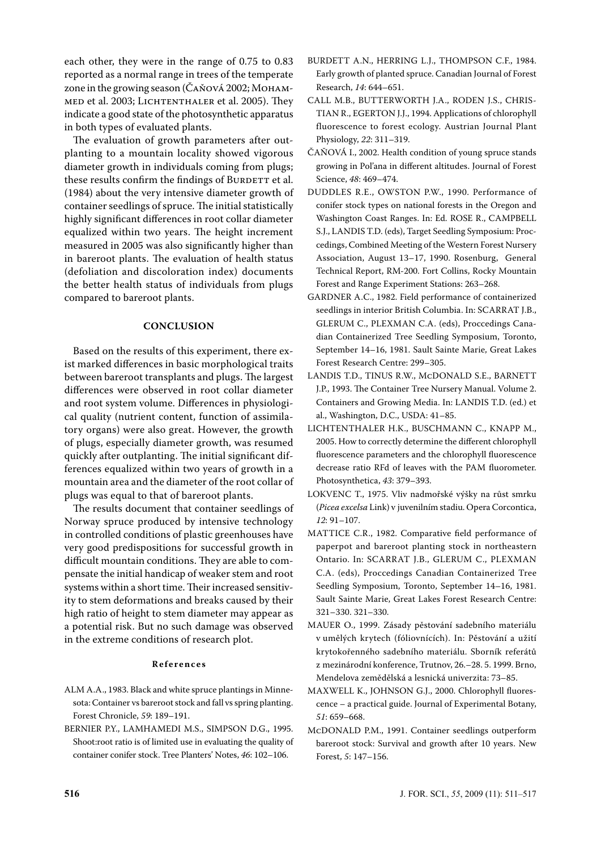each other, they were in the range of 0.75 to 0.83 reported as a normal range in trees of the temperate zone in the growing season (Čaňová 2002; Mohammed et al. 2003; Lichtenthaler et al. 2005). They indicate a good state of the photosynthetic apparatus in both types of evaluated plants.

The evaluation of growth parameters after outplanting to a mountain locality showed vigorous diameter growth in individuals coming from plugs; these results confirm the findings of BURDETT et al. (1984) about the very intensive diameter growth of container seedlings of spruce. The initial statistically highly significant differences in root collar diameter equalized within two years. The height increment measured in 2005 was also significantly higher than in bareroot plants. The evaluation of health status (defoliation and discoloration index) documents the better health status of individuals from plugs compared to bareroot plants.

## **CONCLUSION**

Based on the results of this experiment, there exist marked differences in basic morphological traits between bareroot transplants and plugs. The largest differences were observed in root collar diameter and root system volume. Differences in physiological quality (nutrient content, function of assimilatory organs) were also great. However, the growth of plugs, especially diameter growth, was resumed quickly after outplanting. The initial significant differences equalized within two years of growth in a mountain area and the diameter of the root collar of plugs was equal to that of bareroot plants.

The results document that container seedlings of Norway spruce produced by intensive technology in controlled conditions of plastic greenhouses have very good predispositions for successful growth in difficult mountain conditions. They are able to compensate the initial handicap of weaker stem and root systems within a short time. Their increased sensitivity to stem deformations and breaks caused by their high ratio of height to stem diameter may appear as a potential risk. But no such damage was observed in the extreme conditions of research plot.

#### **R e f e r e n c e s**

- ALM A.A., 1983. Black and white spruce plantings in Minnesota: Container vs bareroot stock and fall vs spring planting. Forest Chronicle, *59*: 189–191.
- BERNIER P.Y., LAMHAMEDI M.S., SIMPSON D.G., 1995. Shoot:root ratio is of limited use in evaluating the quality of container conifer stock. Tree Planters' Notes, *46*: 102–106.
- BURDETT A.N., HERRING L.J., THOMPSON C.F., 1984. Early growth of planted spruce. Canadian Journal of Forest Research, *14*: 644–651.
- CALL M.B., BUTTERWORTH J.A., RODEN J.S., CHRIS-TIAN R., EGERTON J.J., 1994. Applications of chlorophyll fluorescence to forest ecology. Austrian Journal Plant Physiology, *22*: 311–319.
- ČAŇOVÁ I., 2002. Health condition of young spruce stands growing in Pol'ana in different altitudes. Journal of Forest Science, *48*: 469–474.
- DUDDLES R.E., OWSTON P.W., 1990. Performance of conifer stock types on national forests in the Oregon and Washington Coast Ranges. In: Ed. ROSE R., CAMPBELL S.J., LANDIS T.D. (eds), Target Seedling Symposium: Proccedings, Combined Meeting of the Western Forest Nursery Association, August 13–17, 1990. Rosenburg, General Technical Report, RM-200. Fort Collins, Rocky Mountain Forest and Range Experiment Stations: 263–268.
- GARDNER A.C., 1982. Field performance of containerized seedlings in interior British Columbia. In: SCARRAT J.B., GLERUM C., PLEXMAN C.A. (eds), Proccedings Canadian Containerized Tree Seedling Symposium, Toronto, September 14–16, 1981. Sault Sainte Marie, Great Lakes Forest Research Centre: 299–305.
- LANDIS T.D., TINUS R.W., McDONALD S.E., BARNETT J.P., 1993. The Container Tree Nursery Manual. Volume 2. Containers and Growing Media. in: LANDIS T.D. (ed.) et al., Washington, D.C., USDA: 41–85.
- LICHTENTHALER H.K., BUSCHMANN C., KNAPP M., 2005. How to correctly determine the different chlorophyll fluorescence parameters and the chlorophyll fluorescence decrease ratio RFd of leaves with the PAM fluorometer. Photosynthetica, *43*: 379–393.
- LOKVENC T., 1975. Vliv nadmořské výšky na růst smrku (*Picea excelsa* Link) v juvenilním stadiu. Opera corcontica, *12*: 91–107.
- MATTICE C.R., 1982. Comparative field performance of paperpot and bareroot planting stock in northeastern Ontario. In: SCARRAT J.B., GLERUM C., PLEXMAN C.A. (eds), Proccedings Canadian Containerized Tree Seedling Symposium, Toronto, September 14–16, 1981. Sault Sainte Marie, Great Lakes Forest Research Centre: 321–330. 321–330.
- MAUER O., 1999. Zásady pěstování sadebního materiálu v umělých krytech (fóliovnících). In: Pěstování a užití krytokořenného sadebního materiálu. Sborník referátů z mezinárodní konference, Trutnov, 26.–28. 5. 1999. Brno, Mendelova zemědělská a lesnická univerzita: 73–85.
- MAXWELL K., JOHNSON G.J., 2000. Chlorophyll fluorescence – a practical guide. Journal of Experimental Botany, *51*: 659–668.
- McDONALD P.M., 1991. Container seedlings outperform bareroot stock: Survival and growth after 10 years. New Forest, *5*: 147–156.